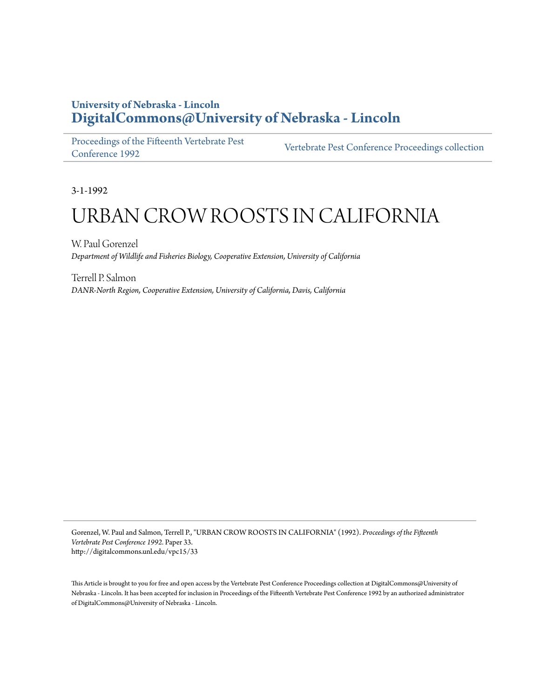# **University of Nebraska - Lincoln [DigitalCommons@University of Nebraska - Lincoln](http://digitalcommons.unl.edu)**

[Proceedings of the Fifteenth Vertebrate Pest](http://digitalcommons.unl.edu/vpc15) [Conference 1992](http://digitalcommons.unl.edu/vpc15) [Vertebrate Pest Conference Proceedings collection](http://digitalcommons.unl.edu/vpccollection)

3-1-1992

# URBAN CROW ROOSTS IN CALIFORNIA

W. Paul Gorenzel *Department of Wildlife and Fisheries Biology, Cooperative Extension, University of California*

Terrell P. Salmon *DANR-North Region, Cooperative Extension, University of California, Davis, California*

Gorenzel, W. Paul and Salmon, Terrell P., "URBAN CROW ROOSTS IN CALIFORNIA" (1992). *Proceedings of the Fifteenth Vertebrate Pest Conference 1992.* Paper 33. http://digitalcommons.unl.edu/vpc15/33

This Article is brought to you for free and open access by the Vertebrate Pest Conference Proceedings collection at DigitalCommons@University of Nebraska - Lincoln. It has been accepted for inclusion in Proceedings of the Fifteenth Vertebrate Pest Conference 1992 by an authorized administrator of DigitalCommons@University of Nebraska - Lincoln.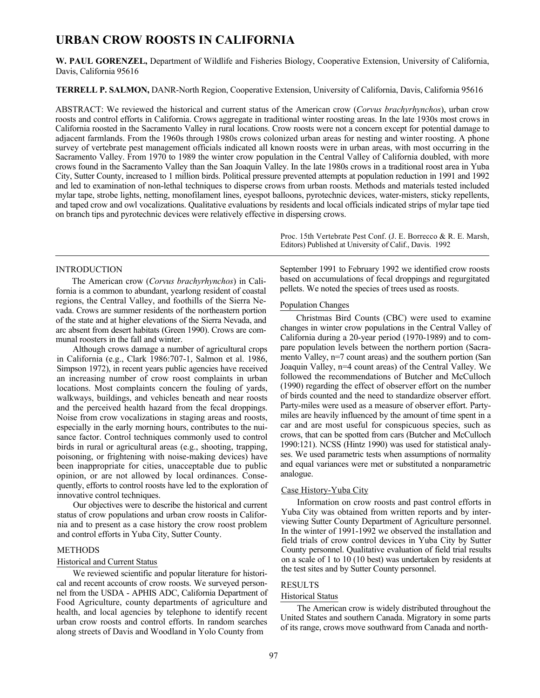# **URBAN CROW ROOSTS IN CALIFORNIA**

**W. PAUL GORENZEL,** Department of Wildlife and Fisheries Biology, Cooperative Extension, University of California, Davis, California 95616

**TERRELL P. SALMON,** DANR-North Region, Cooperative Extension, University of California, Davis, California 95616

ABSTRACT: We reviewed the historical and current status of the American crow (*Corvus brachyrhynchos*), urban crow roosts and control efforts in California. Crows aggregate in traditional winter roosting areas. In the late 1930s most crows in California roosted in the Sacramento Valley in rural locations. Crow roosts were not a concern except for potential damage to adjacent farmlands. From the 1960s through 1980s crows colonized urban areas for nesting and winter roosting. A phone survey of vertebrate pest management officials indicated all known roosts were in urban areas, with most occurring in the Sacramento Valley. From 1970 to 1989 the winter crow population in the Central Valley of California doubled, with more crows found in the Sacramento Valley than the San Joaquin Valley. In the late 1980s crows in a traditional roost area in Yuba City, Sutter County, increased to 1 million birds. Political pressure prevented attempts at population reduction in 1991 and 1992 and led to examination of non-lethal techniques to disperse crows from urban roosts. Methods and materials tested included mylar tape, strobe lights, netting, monofilament lines, eyespot balloons, pyrotechnic devices, water-misters, sticky repellents, and taped crow and owl vocalizations. Qualitative evaluations by residents and local officials indicated strips of mylar tape tied on branch tips and pyrotechnic devices were relatively effective in dispersing crows.

> Proc. 15th Vertebrate Pest Conf. (J. E. Borrecco & R. E. Marsh, Editors) Published at University of Calif., Davis. 1992

# INTRODUCTION

The American crow (*Corvus brachyrhynchos*) in California is a common to abundant, yearlong resident of coastal regions, the Central Valley, and foothills of the Sierra Nevada. Crows are summer residents of the northeastern portion of the state and at higher elevations of the Sierra Nevada, and arc absent from desert habitats (Green 1990). Crows are communal roosters in the fall and winter.

Although crows damage a number of agricultural crops in California (e.g., Clark 1986:707-1, Salmon et al. 1986, Simpson 1972), in recent years public agencies have received an increasing number of crow roost complaints in urban locations. Most complaints concern the fouling of yards, walkways, buildings, and vehicles beneath and near roosts and the perceived health hazard from the fecal droppings. Noise from crow vocalizations in staging areas and roosts, especially in the early morning hours, contributes to the nuisance factor. Control techniques commonly used to control birds in rural or agricultural areas (e.g., shooting, trapping, poisoning, or frightening with noise-making devices) have been inappropriate for cities, unacceptable due to public opinion, or are not allowed by local ordinances. Consequently, efforts to control roosts have led to the exploration of innovative control techniques.

Our objectives were to describe the historical and current status of crow populations and urban crow roosts in California and to present as a case history the crow roost problem and control efforts in Yuba City, Sutter County.

## METHODS

# Historical and Current Status

We reviewed scientific and popular literature for historical and recent accounts of crow roosts. We surveyed personnel from the USDA - APHIS ADC, California Department of Food Agriculture, county departments of agriculture and health, and local agencies by telephone to identify recent urban crow roosts and control efforts. In random searches along streets of Davis and Woodland in Yolo County from

September 1991 to February 1992 we identified crow roosts based on accumulations of fecal droppings and regurgitated pellets. We noted the species of trees used as roosts.

# Population Changes

Christmas Bird Counts (CBC) were used to examine changes in winter crow populations in the Central Valley of California during a 20-year period (1970-1989) and to compare population levels between the northern portion (Sacramento Valley, n=7 count areas) and the southern portion (San Joaquin Valley, n=4 count areas) of the Central Valley. We followed the recommendations of Butcher and McCulloch (1990) regarding the effect of observer effort on the number of birds counted and the need to standardize observer effort. Party-miles were used as a measure of observer effort. Partymiles are heavily influenced by the amount of time spent in a car and are most useful for conspicuous species, such as crows, that can be spotted from cars (Butcher and McCulloch 1990:121). NCSS (Hintz 1990) was used for statistical analyses. We used parametric tests when assumptions of normality and equal variances were met or substituted a nonparametric analogue.

#### Case History-Yuba City

Information on crow roosts and past control efforts in Yuba City was obtained from written reports and by interviewing Sutter County Department of Agriculture personnel. In the winter of 1991-1992 we observed the installation and field trials of crow control devices in Yuba City by Sutter County personnel. Qualitative evaluation of field trial results on a scale of 1 to 10 (10 best) was undertaken by residents at the test sites and by Sutter County personnel.

# RESULTS

# Historical Status

The American crow is widely distributed throughout the United States and southern Canada. Migratory in some parts of its range, crows move southward from Canada and north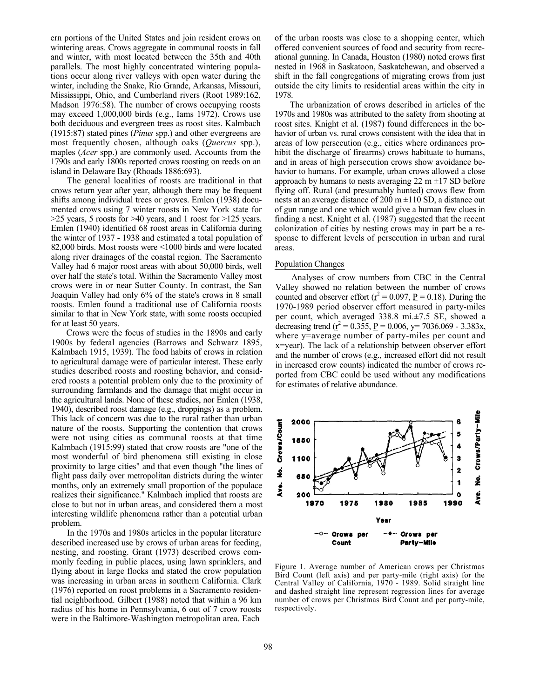ern portions of the United States and join resident crows on wintering areas. Crows aggregate in communal roosts in fall and winter, with most located between the 35th and 40th parallels. The most highly concentrated wintering populations occur along river valleys with open water during the winter, including the Snake, Rio Grande, Arkansas, Missouri, Mississippi, Ohio, and Cumberland rivers (Root 1989:162, Madson 1976:58). The number of crows occupying roosts may exceed 1,000,000 birds (e.g., Iams 1972). Crows use both deciduous and evergreen trees as roost sites. Kalmbach (1915:87) stated pines (*Pinus* spp.) and other evergreens are most frequently chosen, although oaks (*Quercus* spp.), maples (*Acer* spp.) are commonly used. Accounts from the 1790s and early 1800s reported crows roosting on reeds on an island in Delaware Bay (Rhoads 1886:693).

The general localities of roosts are traditional in that crows return year after year, although there may be frequent shifts among individual trees or groves. Emlen (1938) documented crows using 7 winter roosts in New York state for >25 years, 5 roosts for >40 years, and 1 roost for >125 years. Emlen (1940) identified 68 roost areas in California during the winter of 1937 - 1938 and estimated a total population of 82,000 birds. Most roosts were <1000 birds and were located along river drainages of the coastal region. The Sacramento Valley had 6 major roost areas with about 50,000 birds, well over half the state's total. Within the Sacramento Valley most crows were in or near Sutter County. In contrast, the San Joaquin Valley had only 6% of the state's crows in 8 small roosts. Emlen found a traditional use of California roosts similar to that in New York state, with some roosts occupied for at least 50 years.

Crows were the focus of studies in the 1890s and early 1900s by federal agencies (Barrows and Schwarz 1895, Kalmbach 1915, 1939). The food habits of crows in relation to agricultural damage were of particular interest. These early studies described roosts and roosting behavior, and considered roosts a potential problem only due to the proximity of surrounding farmlands and the damage that might occur in the agricultural lands. None of these studies, nor Emlen (1938, 1940), described roost damage (e.g., droppings) as a problem. This lack of concern was due to the rural rather than urban nature of the roosts. Supporting the contention that crows were not using cities as communal roosts at that time Kalmbach (1915:99) stated that crow roosts are "one of the most wonderful of bird phenomena still existing in close proximity to large cities" and that even though "the lines of flight pass daily over metropolitan districts during the winter months, only an extremely small proportion of the populace realizes their significance." Kalmbach implied that roosts are close to but not in urban areas, and considered them a most interesting wildlife phenomena rather than a potential urban problem.

In the 1970s and 1980s articles in the popular literature described increased use by crows of urban areas for feeding, nesting, and roosting. Grant (1973) described crows commonly feeding in public places, using lawn sprinklers, and flying about in large flocks and stated the crow population was increasing in urban areas in southern California. Clark (1976) reported on roost problems in a Sacramento residential neighborhood. Gilbert (1988) noted that within a 96 km radius of his home in Pennsylvania, 6 out of 7 crow roosts were in the Baltimore-Washington metropolitan area. Each

of the urban roosts was close to a shopping center, which offered convenient sources of food and security from recreational gunning. In Canada, Houston (1980) noted crows first nested in 1968 in Saskatoon, Saskatchewan, and observed a shift in the fall congregations of migrating crows from just outside the city limits to residential areas within the city in 1978.

The urbanization of crows described in articles of the 1970s and 1980s was attributed to the safety from shooting at roost sites. Knight et al. (1987) found differences in the behavior of urban vs. rural crows consistent with the idea that in areas of low persecution (e.g., cities where ordinances prohibit the discharge of firearms) crows habituate to humans, and in areas of high persecution crows show avoidance behavior to humans. For example, urban crows allowed a close approach by humans to nests averaging 22 m  $\pm$ 17 SD before flying off. Rural (and presumably hunted) crows flew from nests at an average distance of 200 m  $\pm$ 110 SD, a distance out of gun range and one which would give a human few clues in finding a nest. Knight et al. (1987) suggested that the recent colonization of cities by nesting crows may in part be a response to different levels of persecution in urban and rural areas.

#### Population Changes

Analyses of crow numbers from CBC in the Central Valley showed no relation between the number of crows counted and observer effort ( $r^2 = 0.097$ ,  $P = 0.18$ ). During the 1970-1989 period observer effort measured in party-miles per count, which averaged 338.8 mi.±7.5 SE, showed a decreasing trend ( $\mathbf{r}^2 = 0.355$ ,  $\mathbf{P} = 0.006$ ,  $\mathbf{y} = 7036.069 - 3.383\mathbf{x}$ , where y=average number of party-miles per count and x=year). The lack of a relationship between observer effort and the number of crows (e.g., increased effort did not result in increased crow counts) indicated the number of crows reported from CBC could be used without any modifications for estimates of relative abundance.



Figure 1. Average number of American crows per Christmas Bird Count (left axis) and per party-mile (right axis) for the Central Valley of California, 1970 - 1989. Solid straight line and dashed straight line represent regression lines for average number of crows per Christmas Bird Count and per party-mile, respectively.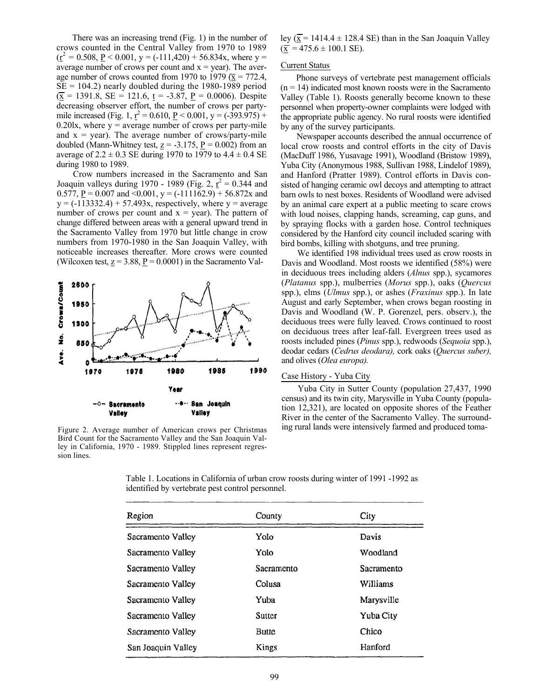There was an increasing trend (Fig. 1) in the number of crows counted in the Central Valley from 1970 to 1989  $(\underline{r}^2 = 0.508, \underline{P} < 0.001, y = (-111,420) + 56.834x,$  where y = average number of crows per count and  $x = year$ ). The average number of crows counted from 1970 to 1979 ( $\overline{x}$  = 772.4,  $SE = 104.2$ ) nearly doubled during the 1980-1989 period  $(\overline{\mathbf{x}} = 1391.8, \, \mathbf{SE} = 121.6, \, \mathbf{t} = -3.87, \, \mathbf{P} = 0.0006)$ . Despite decreasing observer effort, the number of crows per partymile increased (Fig. 1,  $r^2 = 0.610$ ,  $P < 0.001$ ,  $y = (-393.975) +$ 0.20lx, where  $y =$  average number of crows per party-mile and  $x = year$ ). The average number of crows/party-mile doubled (Mann-Whitney test,  $z = -3.175$ ,  $P = 0.002$ ) from an average of  $2.2 \pm 0.3$  SE during 1970 to 1979 to  $4.4 \pm 0.4$  SE during 1980 to 1989.

Crow numbers increased in the Sacramento and San Joaquin valleys during 1970 - 1989 (Fig. 2,  $r^2 = 0.344$  and 0.577,  $\underline{P} = 0.007$  and <0.001,  $y = (-111162.9) + 56.872x$  and  $y = (-113332.4) + 57.493x$ , respectively, where  $y =$  average number of crows per count and  $x = year$ ). The pattern of change differed between areas with a general upward trend in the Sacramento Valley from 1970 but little change in crow numbers from 1970-1980 in the San Joaquin Valley, with noticeable increases thereafter. More crows were counted (Wilcoxen test,  $z = 3.88$ ,  $P = 0.0001$ ) in the Sacramento Val-



Figure 2. Average number of American crows per Christmas Bird Count for the Sacramento Valley and the San Joaquin Valley in California, 1970 - 1989. Stippled lines represent regression lines.

ley ( $\overline{x}$  = 1414.4 ± 128.4 SE) than in the San Joaquin Valley  $(\overline{x} = 475.6 \pm 100.1$  SE).

# Current Status

Phone surveys of vertebrate pest management officials  $(n = 14)$  indicated most known roosts were in the Sacramento Valley (Table 1). Roosts generally become known to these personnel when property-owner complaints were lodged with the appropriate public agency. No rural roosts were identified by any of the survey participants.

Newspaper accounts described the annual occurrence of local crow roosts and control efforts in the city of Davis (MacDuff 1986, Yusavage 1991), Woodland (Bristow 1989), Yuba City (Anonymous 1988, Sullivan 1988, Lindelof 1989), and Hanford (Pratter 1989). Control efforts in Davis consisted of hanging ceramic owl decoys and attempting to attract barn owls to nest boxes. Residents of Woodland were advised by an animal care expert at a public meeting to scare crows with loud noises, clapping hands, screaming, cap guns, and by spraying flocks with a garden hose. Control techniques considered by the Hanford city council included scaring with bird bombs, killing with shotguns, and tree pruning.

We identified 198 individual trees used as crow roosts in Davis and Woodland. Most roosts we identified (58%) were in deciduous trees including alders (*Alnus* spp.), sycamores (*Platanus* spp.), mulberries (*Morus* spp.), oaks (*Quercus*  spp.), elms (*Ulmus* spp.), or ashes (*Fraxinus* spp.). In late August and early September, when crows began roosting in Davis and Woodland (W. P. Gorenzel, pers. observ.), the deciduous trees were fully leaved. Crows continued to roost on deciduous trees after leaf-fall. Evergreen trees used as roosts included pines (*Pinus* spp.), redwoods (*Sequoia* spp.), deodar cedars (*Cedrus deodara),* cork oaks (*Quercus suber),*  and olives (*Olea europa).*

# Case History - Yuba City

Yuba City in Sutter County (population 27,437, 1990 census) and its twin city, Marysville in Yuba County (population 12,321), are located on opposite shores of the Feather River in the center of the Sacramento Valley. The surrounding rural lands were intensively farmed and produced toma-

| Table 1. Locations in California of urban crow roosts during winter of 1991 -1992 as |  |
|--------------------------------------------------------------------------------------|--|
| identified by vertebrate pest control personnel.                                     |  |

| Region             | County     | City       |
|--------------------|------------|------------|
| Sacramento Valley  | Yolo       | Davis      |
| Sacramento Valley  | Yolo       | Woodland   |
| Sacramento Valley  | Sacramento | Sacramento |
| Sacramento Valley  | Colusa     | Williams   |
| Sacramento Valley  | Yuba       | Marysville |
| Sacramento Valley  | Sutter     | Yuba City  |
| Sacramento Valley  | Butte      | Chico      |
| San Joaquin Valley | Kings      | Hanford    |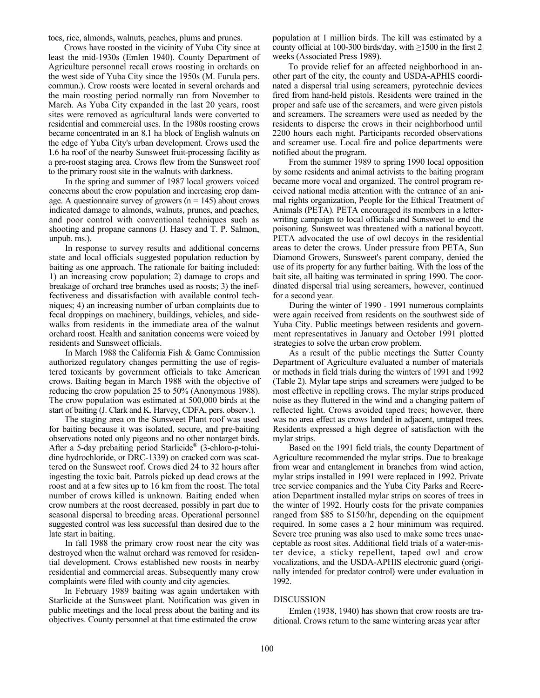toes, rice, almonds, walnuts, peaches, plums and prunes.

Crows have roosted in the vicinity of Yuba City since at least the mid-1930s (Emlen 1940). County Department of Agriculture personnel recall crows roosting in orchards on the west side of Yuba City since the 1950s (M. Furula pers. commun.). Crow roosts were located in several orchards and the main roosting period normally ran from November to March. As Yuba City expanded in the last 20 years, roost sites were removed as agricultural lands were converted to residential and commercial uses. In the 1980s roosting crows became concentrated in an 8.1 ha block of English walnuts on the edge of Yuba City's urban development. Crows used the 1.6 ha roof of the nearby Sunsweet fruit-processing facility as a pre-roost staging area. Crows flew from the Sunsweet roof to the primary roost site in the walnuts with darkness.

In the spring and summer of 1987 local growers voiced concerns about the crow population and increasing crop damage. A questionnaire survey of growers ( $n = 145$ ) about crows indicated damage to almonds, walnuts, prunes, and peaches, and poor control with conventional techniques such as shooting and propane cannons (J. Hasey and T. P. Salmon, unpub. ms.).

In response to survey results and additional concerns state and local officials suggested population reduction by baiting as one approach. The rationale for baiting included: 1) an increasing crow population; 2) damage to crops and breakage of orchard tree branches used as roosts; 3) the ineffectiveness and dissatisfaction with available control techniques; 4) an increasing number of urban complaints due to fecal droppings on machinery, buildings, vehicles, and sidewalks from residents in the immediate area of the walnut orchard roost. Health and sanitation concerns were voiced by residents and Sunsweet officials.

In March 1988 the California Fish & Game Commission authorized regulatory changes permitting the use of registered toxicants by government officials to take American crows. Baiting began in March 1988 with the objective of reducing the crow population 25 to 50% (Anonymous 1988). The crow population was estimated at 500,000 birds at the start of baiting (J. Clark and K. Harvey, CDFA, pers. observ.).

The staging area on the Sunsweet Plant roof was used for baiting because it was isolated, secure, and pre-baiting observations noted only pigeons and no other nontarget birds. After a 5-day prebaiting period Starlicide<sup>®</sup> (3-chloro-p-toluidine hydrochloride, or DRC-1339) on cracked corn was scattered on the Sunsweet roof. Crows died 24 to 32 hours after ingesting the toxic bait. Patrols picked up dead crows at the roost and at a few sites up to 16 km from the roost. The total number of crows killed is unknown. Baiting ended when crow numbers at the roost decreased, possibly in part due to seasonal dispersal to breeding areas. Operational personnel suggested control was less successful than desired due to the late start in baiting.

In fall 1988 the primary crow roost near the city was destroyed when the walnut orchard was removed for residential development. Crows established new roosts in nearby residential and commercial areas. Subsequently many crow complaints were filed with county and city agencies.

In February 1989 baiting was again undertaken with Starlicide at the Sunsweet plant. Notification was given in public meetings and the local press about the baiting and its objectives. County personnel at that time estimated the crow

population at 1 million birds. The kill was estimated by a county official at 100-300 birds/day, with ≥1500 in the first 2 weeks (Associated Press 1989).

To provide relief for an affected neighborhood in another part of the city, the county and USDA-APHIS coordinated a dispersal trial using screamers, pyrotechnic devices fired from hand-held pistols. Residents were trained in the proper and safe use of the screamers, and were given pistols and screamers. The screamers were used as needed by the residents to disperse the crows in their neighborhood until 2200 hours each night. Participants recorded observations and screamer use. Local fire and police departments were notified about the program.

From the summer 1989 to spring 1990 local opposition by some residents and animal activists to the baiting program became more vocal and organized. The control program received national media attention with the entrance of an animal rights organization, People for the Ethical Treatment of Animals (PETA)*.* PETA encouraged its members in a letterwriting campaign to local officials and Sunsweet to end the poisoning. Sunsweet was threatened with a national boycott. PETA advocated the use of owl decoys in the residential areas to deter the crows. Under pressure from PETA, Sun Diamond Growers, Sunsweet's parent company, denied the use of its property for any further baiting. With the loss of the bait site, all baiting was terminated in spring 1990. The coordinated dispersal trial using screamers, however, continued for a second year.

During the winter of 1990 - 1991 numerous complaints were again received from residents on the southwest side of Yuba City. Public meetings between residents and government representatives in January and October 1991 plotted strategies to solve the urban crow problem.

As a result of the public meetings the Sutter County Department of Agriculture evaluated a number of materials or methods in field trials during the winters of 1991 and 1992 (Table 2). Mylar tape strips and screamers were judged to be most effective in repelling crows. The mylar strips produced noise as they fluttered in the wind and a changing pattern of reflected light. Crows avoided taped trees; however, there was no area effect as crows landed in adjacent, untaped trees. Residents expressed a high degree of satisfaction with the mylar strips.

Based on the 1991 field trials, the county Department of Agriculture recommended the mylar strips. Due to breakage from wear and entanglement in branches from wind action, mylar strips installed in 1991 were replaced in 1992. Private tree service companies and the Yuba City Parks and Recreation Department installed mylar strips on scores of trees in the winter of 1992. Hourly costs for the private companies ranged from \$85 to \$150/hr, depending on the equipment required. In some cases a 2 hour minimum was required. Severe tree pruning was also used to make some trees unacceptable as roost sites. Additional field trials of a water-mister device, a sticky repellent, taped owl and crow vocalizations, and the USDA-APHIS electronic guard (originally intended for predator control) were under evaluation in 1992.

#### DISCUSSION

Emlen (1938, 1940) has shown that crow roosts are traditional. Crows return to the same wintering areas year after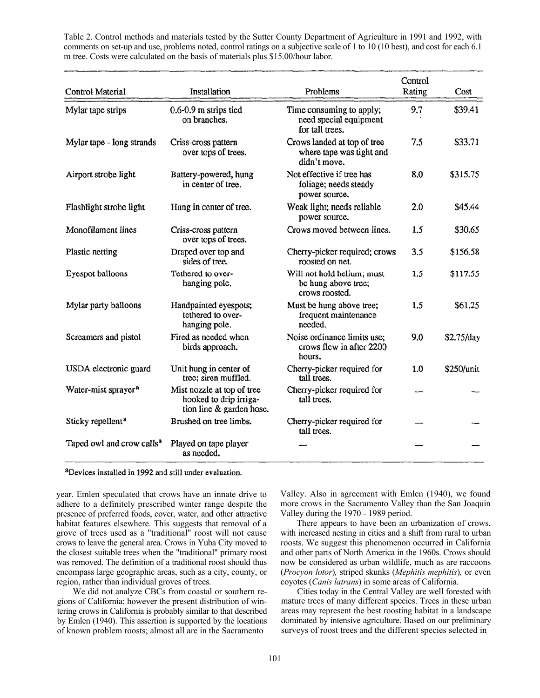Table 2. Control methods and materials tested by the Sutter County Department of Agriculture in 1991 and 1992, with comments on set-up and use, problems noted, control ratings on a subjective scale of 1 to 10 (10 best), and cost for each 6.1 m tree. Costs were calculated on the basis of materials plus \$15.00/hour labor.

| Control Material                      | Installation                                                                     | Problems                                                                | Control<br>Rating | Cost       |
|---------------------------------------|----------------------------------------------------------------------------------|-------------------------------------------------------------------------|-------------------|------------|
| Mylar tape strips                     | 0.6-0.9 m strips tied<br>on branches.                                            | Time consuming to apply;<br>need special equipment<br>for tall trees.   | 9.7               | \$39.41    |
| Mylar tape - long strands             | Criss-cross pattern<br>over tops of trees.                                       | Crows landed at top of tree<br>where tape was tight and<br>didn't move. | 7.5               | \$33.71    |
| Airport strobe light                  | Battery-powered, hung<br>in center of tree.                                      | Not effective if tree has<br>foliage; needs steady<br>power source.     | 8.0               | \$315.75   |
| Flashlight strobe light               | Hung in center of tree.                                                          | Weak light; needs reliable<br>power source.                             | 2.0               | \$45.44    |
| Monofilament lines                    | Criss-cross pattern<br>over tops of trees.                                       | Crows moved between lines.                                              | 1.5               | \$30.65    |
| Plastic netting                       | Draped over top and<br>sides of tree.                                            | Cherry-picker required; crows<br>roosted on net.                        | 3.5               | \$156.58   |
| Eyespot balloons                      | Tethered to over-<br>hanging pole.                                               | Will not hold helium; must<br>be hung above tree;<br>crows roosted.     | 1.5               | \$117.55   |
| Mylar party balloons                  | Handpainted eyespots;<br>tethered to over-<br>hanging pole.                      | Must be hung above tree;<br>frequent maintenance<br>needed.             | 1.5               | \$61.25    |
| Screamers and pistol                  | Fired as needed when<br>birds approach.                                          | Noise ordinance limits use;<br>crows flew in after 2200<br>hours.       | 9.0               | \$2.75/day |
| USDA electronic guard                 | Unit hung in center of<br>tree; siren muffled.                                   | Cherry-picker required for<br>tall trees.                               | 1.0               | \$250/unit |
| Water-mist sprayer <sup>a</sup>       | Mist nozzle at top of tree<br>hooked to drip irriga-<br>tion line & garden hose. | Cherry-picker required for<br>tall trees.                               |                   |            |
| Sticky repellent <sup>a</sup>         | Brushed on tree limbs.                                                           | Cherry-picker required for<br>tall trees.                               |                   |            |
| Taped owl and crow calls <sup>a</sup> | Played on tape player<br>as needed.                                              |                                                                         |                   |            |

<sup>a</sup>Devices installed in 1992 and still under evaluation.

year. Emlen speculated that crows have an innate drive to adhere to a definitely prescribed winter range despite the presence of preferred foods, cover, water, and other attractive habitat features elsewhere. This suggests that removal of a grove of trees used as a "traditional" roost will not cause crows to leave the general area. Crows in Yuba City moved to the closest suitable trees when the "traditional" primary roost was removed. The definition of a traditional roost should thus encompass large geographic areas, such as a city, county, or region, rather than individual groves of trees.

We did not analyze CBCs from coastal or southern regions of California; however the present distribution of wintering crows in California is probably similar to that described by Emlen (1940). This assertion is supported by the locations of known problem roosts; almost all are in the Sacramento

Valley. Also in agreement with Emlen (1940), we found more crows in the Sacramento Valley than the San Joaquin Valley during the 1970 - 1989 period.

There appears to have been an urbanization of crows, with increased nesting in cities and a shift from rural to urban roosts. We suggest this phenomenon occurred in California and other parts of North America in the 1960s. Crows should now be considered as urban wildlife, much as are raccoons (*Procyon lotor*)*,* striped skunks (*Mephitis mephitis*)*,* or even coyotes (*Canis latrans*) in some areas of California.

Cities today in the Central Valley are well forested with mature trees of many different species. Trees in these urban areas may represent the best roosting habitat in a landscape dominated by intensive agriculture. Based on our preliminary surveys of roost trees and the different species selected in